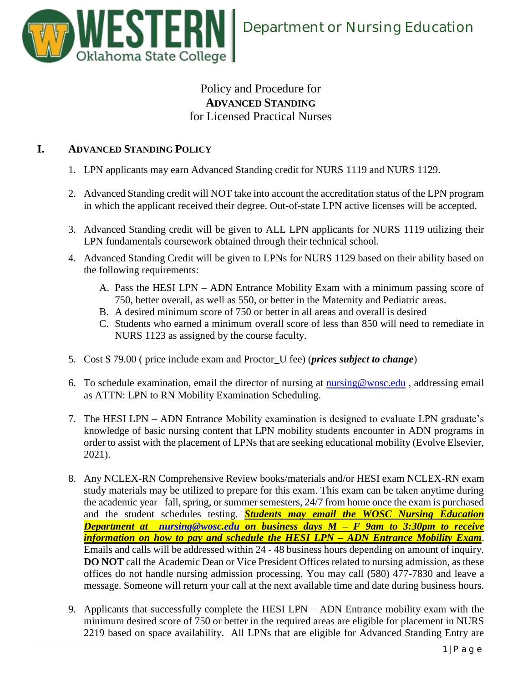

## Policy and Procedure for **ADVANCED STANDING** for Licensed Practical Nurses

## **I. ADVANCED STANDING POLICY**

- 1. LPN applicants may earn Advanced Standing credit for NURS 1119 and NURS 1129.
- 2. Advanced Standing credit will NOT take into account the accreditation status of the LPN program in which the applicant received their degree. Out-of-state LPN active licenses will be accepted.
- 3. Advanced Standing credit will be given to ALL LPN applicants for NURS 1119 utilizing their LPN fundamentals coursework obtained through their technical school.
- 4. Advanced Standing Credit will be given to LPNs for NURS 1129 based on their ability based on the following requirements:
	- A. Pass the HESI LPN ADN Entrance Mobility Exam with a minimum passing score of 750, better overall, as well as 550, or better in the Maternity and Pediatric areas.
	- B. A desired minimum score of 750 or better in all areas and overall is desired
	- C. Students who earned a minimum overall score of less than 850 will need to remediate in NURS 1123 as assigned by the course faculty.
- 5. Cost \$ 79.00 ( price include exam and Proctor\_U fee) (*prices subject to change*)
- 6. To schedule examination, email the director of nursing at  $\frac{\text{nursing}\omega\text{wosc.edu}}{\text{morsing email}}$ , addressing email as ATTN: LPN to RN Mobility Examination Scheduling.
- 7. The HESI LPN ADN Entrance Mobility examination is designed to evaluate LPN graduate's knowledge of basic nursing content that LPN mobility students encounter in ADN programs in order to assist with the placement of LPNs that are seeking educational mobility (Evolve Elsevier, 2021).
- 8. Any NCLEX-RN Comprehensive Review books/materials and/or HESI exam NCLEX-RN exam study materials may be utilized to prepare for this exam. This exam can be taken anytime during the academic year –fall, spring, or summer semesters, 24/7 from home once the exam is purchased and the student schedules testing. *Students may email the WOSC Nursing Education Department at [nursing@wosc.edu](mailto:nursing@wosc.edu) on business days M – F 9am to 3:30pm to receive information on how to pay and schedule the HESI LPN – ADN Entrance Mobility Exam*. Emails and calls will be addressed within 24 - 48 business hours depending on amount of inquiry. **DO NOT** call the Academic Dean or Vice President Offices related to nursing admission, as these offices do not handle nursing admission processing. You may call (580) 477-7830 and leave a message. Someone will return your call at the next available time and date during business hours.
- 9. Applicants that successfully complete the HESI LPN ADN Entrance mobility exam with the minimum desired score of 750 or better in the required areas are eligible for placement in NURS 2219 based on space availability. All LPNs that are eligible for Advanced Standing Entry are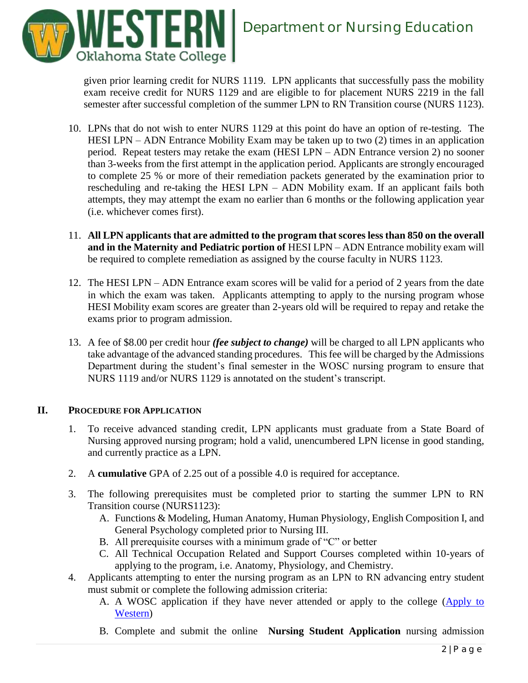

given prior learning credit for NURS 1119. LPN applicants that successfully pass the mobility exam receive credit for NURS 1129 and are eligible to for placement NURS 2219 in the fall semester after successful completion of the summer LPN to RN Transition course (NURS 1123).

- 10. LPNs that do not wish to enter NURS 1129 at this point do have an option of re-testing. The HESI LPN – ADN Entrance Mobility Exam may be taken up to two (2) times in an application period. Repeat testers may retake the exam (HESI LPN – ADN Entrance version 2) no sooner than 3-weeks from the first attempt in the application period. Applicants are strongly encouraged to complete 25 % or more of their remediation packets generated by the examination prior to rescheduling and re-taking the HESI LPN – ADN Mobility exam. If an applicant fails both attempts, they may attempt the exam no earlier than 6 months or the following application year (i.e. whichever comes first).
- 11. **All LPN applicants that are admitted to the program that scores less than 850 on the overall and in the Maternity and Pediatric portion of HESI LPN – ADN Entrance mobility exam will** be required to complete remediation as assigned by the course faculty in NURS 1123.
- 12. The HESI LPN ADN Entrance exam scores will be valid for a period of 2 years from the date in which the exam was taken. Applicants attempting to apply to the nursing program whose HESI Mobility exam scores are greater than 2-years old will be required to repay and retake the exams prior to program admission.
- 13. A fee of \$8.00 per credit hour *(fee subject to change)* will be charged to all LPN applicants who take advantage of the advanced standing procedures. This fee will be charged by the Admissions Department during the student's final semester in the WOSC nursing program to ensure that NURS 1119 and/or NURS 1129 is annotated on the student's transcript.

## **II. PROCEDURE FOR APPLICATION**

- 1. To receive advanced standing credit, LPN applicants must graduate from a State Board of Nursing approved nursing program; hold a valid, unencumbered LPN license in good standing, and currently practice as a LPN.
- 2. A **cumulative** GPA of 2.25 out of a possible 4.0 is required for acceptance.
- 3. The following prerequisites must be completed prior to starting the summer LPN to RN Transition course (NURS1123):
	- A. Functions & Modeling, Human Anatomy, Human Physiology, English Composition I, and General Psychology completed prior to Nursing III.
	- B. All prerequisite courses with a minimum grade of "C" or better
	- C. All Technical Occupation Related and Support Courses completed within 10-years of applying to the program, i.e. Anatomy, Physiology, and Chemistry.
- 4. Applicants attempting to enter the nursing program as an LPN to RN advancing entry student must submit or complete the following admission criteria:
	- A. A WOSC application if they have never attended or apply to the college [\(Apply to](https://www.wosc.edu/index.php?page=Enroll)  [Western\)](https://www.wosc.edu/index.php?page=Enroll)
	- B. Complete and submit the online **Nursing Student Application** nursing admission